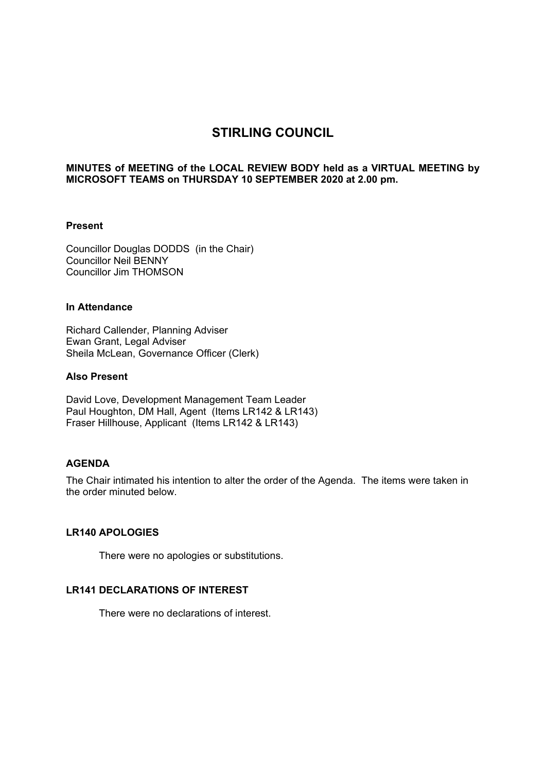# **STIRLING COUNCIL**

# **MINUTES of MEETING of the LOCAL REVIEW BODY held as a VIRTUAL MEETING by MICROSOFT TEAMS on THURSDAY 10 SEPTEMBER 2020 at 2.00 pm.**

## **Present**

Councillor Douglas DODDS (in the Chair) Councillor Neil BENNY Councillor Jim THOMSON

## **In Attendance**

Richard Callender, Planning Adviser Ewan Grant, Legal Adviser Sheila McLean, Governance Officer (Clerk)

# **Also Present**

David Love, Development Management Team Leader Paul Houghton, DM Hall, Agent (Items LR142 & LR143) Fraser Hillhouse, Applicant (Items LR142 & LR143)

## **AGENDA**

The Chair intimated his intention to alter the order of the Agenda. The items were taken in the order minuted below.

# **LR140 APOLOGIES**

There were no apologies or substitutions.

# **LR141 DECLARATIONS OF INTEREST**

There were no declarations of interest.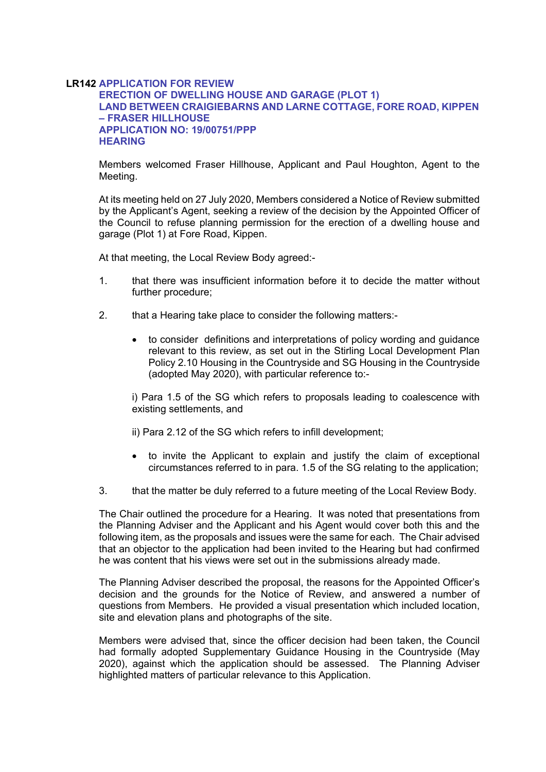## **LR142 APPLICATION FOR REVIEW ERECTION OF DWELLING HOUSE AND GARAGE (PLOT 1) LAND BETWEEN CRAIGIEBARNS AND LARNE COTTAGE, FORE ROAD, KIPPEN – FRASER HILLHOUSE APPLICATION NO: 19/00751/PPP HEARING**

Members welcomed Fraser Hillhouse, Applicant and Paul Houghton, Agent to the Meeting.

At its meeting held on 27 July 2020, Members considered a Notice of Review submitted by the Applicant's Agent, seeking a review of the decision by the Appointed Officer of the Council to refuse planning permission for the erection of a dwelling house and garage (Plot 1) at Fore Road, Kippen.

At that meeting, the Local Review Body agreed:-

- 1. that there was insufficient information before it to decide the matter without further procedure;
- 2. that a Hearing take place to consider the following matters:
	- to consider definitions and interpretations of policy wording and guidance relevant to this review, as set out in the Stirling Local Development Plan Policy 2.10 Housing in the Countryside and SG Housing in the Countryside (adopted May 2020), with particular reference to:-

i) Para 1.5 of the SG which refers to proposals leading to coalescence with existing settlements, and

ii) Para 2.12 of the SG which refers to infill development;

- to invite the Applicant to explain and justify the claim of exceptional circumstances referred to in para. 1.5 of the SG relating to the application;
- 3. that the matter be duly referred to a future meeting of the Local Review Body.

The Chair outlined the procedure for a Hearing. It was noted that presentations from the Planning Adviser and the Applicant and his Agent would cover both this and the following item, as the proposals and issues were the same for each. The Chair advised that an objector to the application had been invited to the Hearing but had confirmed he was content that his views were set out in the submissions already made.

The Planning Adviser described the proposal, the reasons for the Appointed Officer's decision and the grounds for the Notice of Review, and answered a number of questions from Members. He provided a visual presentation which included location, site and elevation plans and photographs of the site.

Members were advised that, since the officer decision had been taken, the Council had formally adopted Supplementary Guidance Housing in the Countryside (May 2020), against which the application should be assessed. The Planning Adviser highlighted matters of particular relevance to this Application.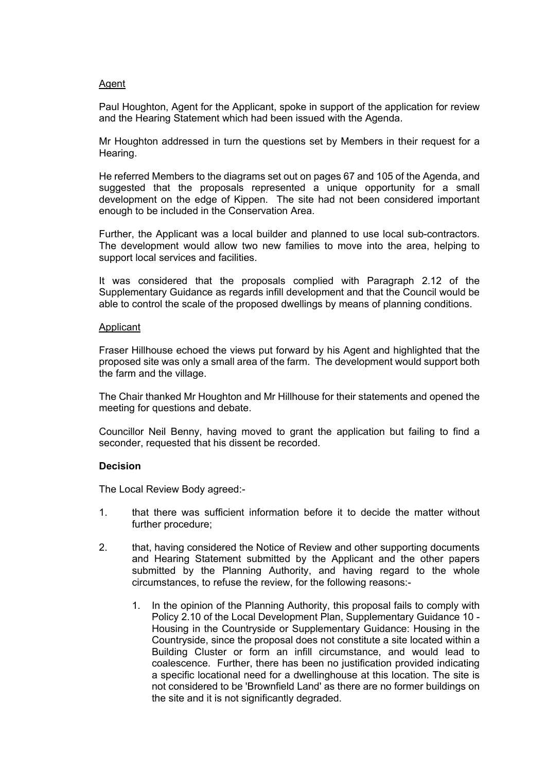# Agent

Paul Houghton, Agent for the Applicant, spoke in support of the application for review and the Hearing Statement which had been issued with the Agenda.

Mr Houghton addressed in turn the questions set by Members in their request for a Hearing.

He referred Members to the diagrams set out on pages 67 and 105 of the Agenda, and suggested that the proposals represented a unique opportunity for a small development on the edge of Kippen. The site had not been considered important enough to be included in the Conservation Area.

Further, the Applicant was a local builder and planned to use local sub-contractors. The development would allow two new families to move into the area, helping to support local services and facilities.

It was considered that the proposals complied with Paragraph 2.12 of the Supplementary Guidance as regards infill development and that the Council would be able to control the scale of the proposed dwellings by means of planning conditions.

## Applicant

Fraser Hillhouse echoed the views put forward by his Agent and highlighted that the proposed site was only a small area of the farm. The development would support both the farm and the village.

The Chair thanked Mr Houghton and Mr Hillhouse for their statements and opened the meeting for questions and debate.

Councillor Neil Benny, having moved to grant the application but failing to find a seconder, requested that his dissent be recorded.

## **Decision**

The Local Review Body agreed:-

- 1. that there was sufficient information before it to decide the matter without further procedure;
- 2. that, having considered the Notice of Review and other supporting documents and Hearing Statement submitted by the Applicant and the other papers submitted by the Planning Authority, and having regard to the whole circumstances, to refuse the review, for the following reasons:-
	- 1. In the opinion of the Planning Authority, this proposal fails to comply with Policy 2.10 of the Local Development Plan, Supplementary Guidance 10 - Housing in the Countryside or Supplementary Guidance: Housing in the Countryside, since the proposal does not constitute a site located within a Building Cluster or form an infill circumstance, and would lead to coalescence. Further, there has been no justification provided indicating a specific locational need for a dwellinghouse at this location. The site is not considered to be 'Brownfield Land' as there are no former buildings on the site and it is not significantly degraded.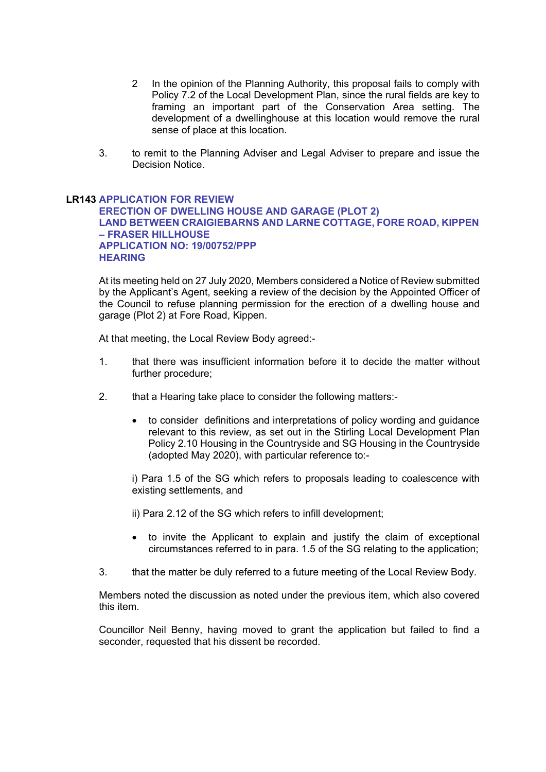- 2 In the opinion of the Planning Authority, this proposal fails to comply with Policy 7.2 of the Local Development Plan, since the rural fields are key to framing an important part of the Conservation Area setting. The development of a dwellinghouse at this location would remove the rural sense of place at this location.
- 3. to remit to the Planning Adviser and Legal Adviser to prepare and issue the Decision Notice.

# **LR143 APPLICATION FOR REVIEW ERECTION OF DWELLING HOUSE AND GARAGE (PLOT 2) LAND BETWEEN CRAIGIEBARNS AND LARNE COTTAGE, FORE ROAD, KIPPEN – FRASER HILLHOUSE APPLICATION NO: 19/00752/PPP HEARING**

At its meeting held on 27 July 2020, Members considered a Notice of Review submitted by the Applicant's Agent, seeking a review of the decision by the Appointed Officer of the Council to refuse planning permission for the erection of a dwelling house and garage (Plot 2) at Fore Road, Kippen.

At that meeting, the Local Review Body agreed:-

- 1. that there was insufficient information before it to decide the matter without further procedure;
- 2. that a Hearing take place to consider the following matters:
	- to consider definitions and interpretations of policy wording and guidance relevant to this review, as set out in the Stirling Local Development Plan Policy 2.10 Housing in the Countryside and SG Housing in the Countryside (adopted May 2020), with particular reference to:-

i) Para 1.5 of the SG which refers to proposals leading to coalescence with existing settlements, and

ii) Para 2.12 of the SG which refers to infill development;

- to invite the Applicant to explain and justify the claim of exceptional circumstances referred to in para. 1.5 of the SG relating to the application;
- 3. that the matter be duly referred to a future meeting of the Local Review Body.

Members noted the discussion as noted under the previous item, which also covered this item.

Councillor Neil Benny, having moved to grant the application but failed to find a seconder, requested that his dissent be recorded.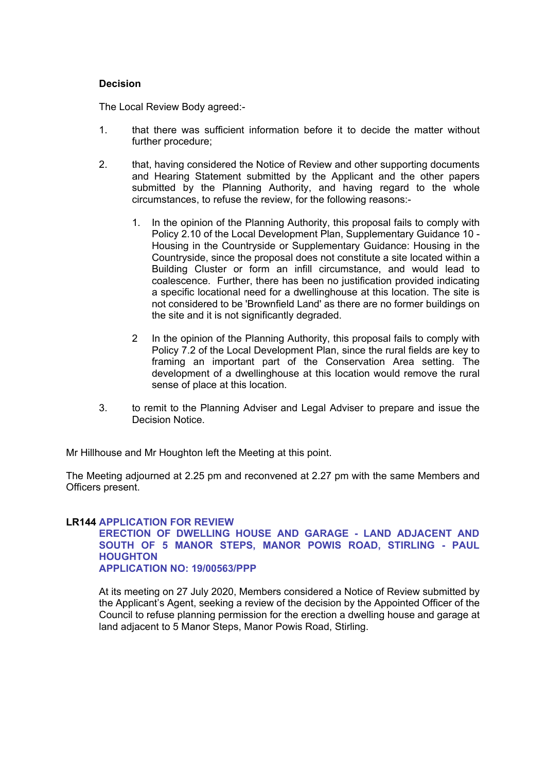# **Decision**

The Local Review Body agreed:-

- 1. that there was sufficient information before it to decide the matter without further procedure;
- 2. that, having considered the Notice of Review and other supporting documents and Hearing Statement submitted by the Applicant and the other papers submitted by the Planning Authority, and having regard to the whole circumstances, to refuse the review, for the following reasons:-
	- 1. In the opinion of the Planning Authority, this proposal fails to comply with Policy 2.10 of the Local Development Plan, Supplementary Guidance 10 - Housing in the Countryside or Supplementary Guidance: Housing in the Countryside, since the proposal does not constitute a site located within a Building Cluster or form an infill circumstance, and would lead to coalescence. Further, there has been no justification provided indicating a specific locational need for a dwellinghouse at this location. The site is not considered to be 'Brownfield Land' as there are no former buildings on the site and it is not significantly degraded.
	- 2 In the opinion of the Planning Authority, this proposal fails to comply with Policy 7.2 of the Local Development Plan, since the rural fields are key to framing an important part of the Conservation Area setting. The development of a dwellinghouse at this location would remove the rural sense of place at this location.
- 3. to remit to the Planning Adviser and Legal Adviser to prepare and issue the Decision Notice.

Mr Hillhouse and Mr Houghton left the Meeting at this point.

The Meeting adjourned at 2.25 pm and reconvened at 2.27 pm with the same Members and Officers present.

## **LR144 APPLICATION FOR REVIEW**

## **ERECTION OF DWELLING HOUSE AND GARAGE - LAND ADJACENT AND SOUTH OF 5 MANOR STEPS, MANOR POWIS ROAD, STIRLING - PAUL HOUGHTON APPLICATION NO: 19/00563/PPP**

At its meeting on 27 July 2020, Members considered a Notice of Review submitted by the Applicant's Agent, seeking a review of the decision by the Appointed Officer of the Council to refuse planning permission for the erection a dwelling house and garage at land adjacent to 5 Manor Steps, Manor Powis Road, Stirling.